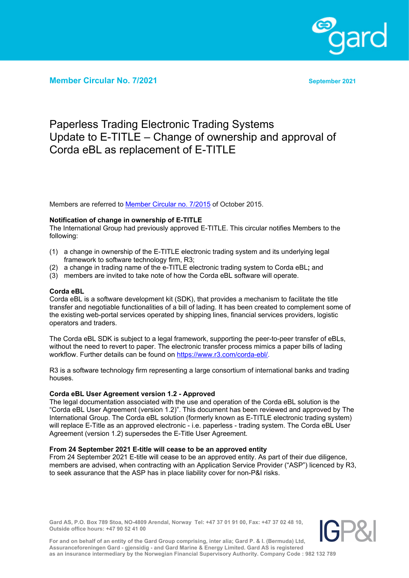

**Member Circular No. 7/2021 September 2021**

# Paperless Trading Electronic Trading Systems Update to E-TITLE – Change of ownership and approval of Corda eBL as replacement of E-TITLE

Members are referred to Member [Circular no. 7/2015](https://www.gard.no/Content/20889007/MemberCircular_7_2015.pdf) of October 2015.

### **Notification of change in ownership of E-TITLE**

The International Group had previously approved E-TITLE. This circular notifies Members to the following:

- (1) a change in ownership of the E-TITLE electronic trading system and its underlying legal framework to software technology firm, R3;
- (2) a change in trading name of the e-TITLE electronic trading system to Corda eBL**;** and
- (3) members are invited to take note of how the Corda eBL software will operate.

#### **Corda eBL**

Corda eBL is a software development kit (SDK), that provides a mechanism to facilitate the title transfer and negotiable functionalities of a bill of lading. It has been created to complement some of the existing web-portal services operated by shipping lines, financial services providers, logistic operators and traders.

The Corda eBL SDK is subject to a legal framework, supporting the peer-to-peer transfer of eBLs, without the need to revert to paper. The electronic transfer process mimics a paper bills of lading workflow. Further details can be found on [https://www.r3.com/corda-ebl/.](https://www.r3.com/corda-ebl/)

R3 is a software technology firm representing a large consortium of international banks and trading houses.

#### **Corda eBL User Agreement version 1.2 - Approved**

The legal documentation associated with the use and operation of the Corda eBL solution is the "Corda eBL User Agreement (version 1.2)". This document has been reviewed and approved by The International Group. The Corda eBL solution (formerly known as E-TITLE electronic trading system) will replace E-Title as an approved electronic - i.e. paperless - trading system. The Corda eBL User Agreement (version 1.2) supersedes the E-Title User Agreement.

#### **From 24 September 2021 E-title will cease to be an approved entity**

From 24 September 2021 E-title will cease to be an approved entity. As part of their due diligence, members are advised, when contracting with an Application Service Provider ("ASP") licenced by R3, to seek assurance that the ASP has in place liability cover for non-P&I risks.

**Gard AS, P.O. Box 789 Stoa, NO-4809 Arendal, Norway Tel: +47 37 01 91 00, Fax: +47 37 02 48 10, Outside office hours: +47 90 52 41 00**